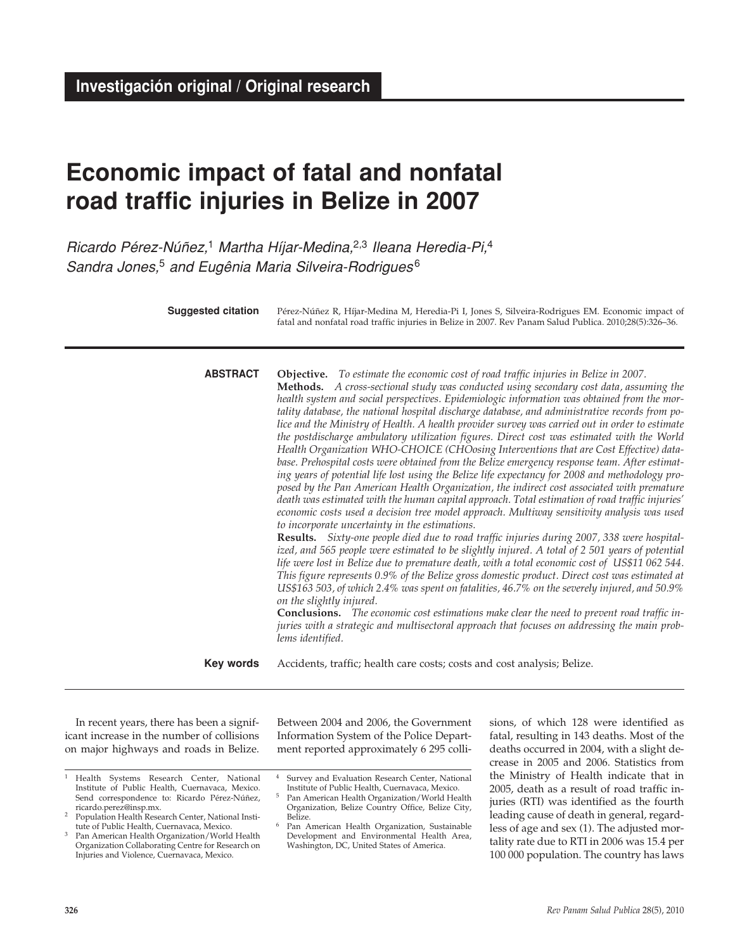# **Economic impact of fatal and nonfatal road traffic injuries in Belize in 2007**

Ricardo Pérez-Núñez,<sup>1</sup> Martha Híjar-Medina,<sup>2,3</sup> Ileana Heredia-Pi,<sup>4</sup> Sandra Jones,<sup>5</sup> and Eugênia Maria Silveira-Rodrigues<sup>6</sup>

| Suggested citation | Pérez-Núñez R, Híjar-Medina M, Heredia-Pi I, Jones S, Silveira-Rodrigues EM. Economic impact of<br>fatal and nonfatal road traffic injuries in Belize in 2007. Rev Panam Salud Publica. 2010;28(5):326-36.                                                                                                                                                                                                                                                                                                                                                                                                                                                                                                                                                                                                                                                                                                                                                                                                                                                                                                                                                                                                                                                                                                                                                                                                                                                                                                                                                                                                                                                                                                                                                                                                                                                                                                                                                                               |
|--------------------|------------------------------------------------------------------------------------------------------------------------------------------------------------------------------------------------------------------------------------------------------------------------------------------------------------------------------------------------------------------------------------------------------------------------------------------------------------------------------------------------------------------------------------------------------------------------------------------------------------------------------------------------------------------------------------------------------------------------------------------------------------------------------------------------------------------------------------------------------------------------------------------------------------------------------------------------------------------------------------------------------------------------------------------------------------------------------------------------------------------------------------------------------------------------------------------------------------------------------------------------------------------------------------------------------------------------------------------------------------------------------------------------------------------------------------------------------------------------------------------------------------------------------------------------------------------------------------------------------------------------------------------------------------------------------------------------------------------------------------------------------------------------------------------------------------------------------------------------------------------------------------------------------------------------------------------------------------------------------------------|
| <b>ABSTRACT</b>    | Objective. To estimate the economic cost of road traffic injuries in Belize in 2007.<br>Methods. A cross-sectional study was conducted using secondary cost data, assuming the<br>health system and social perspectives. Epidemiologic information was obtained from the mor-<br>tality database, the national hospital discharge database, and administrative records from po-<br>lice and the Ministry of Health. A health provider survey was carried out in order to estimate<br>the postdischarge ambulatory utilization figures. Direct cost was estimated with the World<br>Health Organization WHO-CHOICE (CHOosing Interventions that are Cost Effective) data-<br>base. Prehospital costs were obtained from the Belize emergency response team. After estimat-<br>ing years of potential life lost using the Belize life expectancy for 2008 and methodology pro-<br>posed by the Pan American Health Organization, the indirect cost associated with premature<br>death was estimated with the human capital approach. Total estimation of road traffic injuries'<br>economic costs used a decision tree model approach. Multiway sensitivity analysis was used<br>to incorporate uncertainty in the estimations.<br>Results. Sixty-one people died due to road traffic injuries during 2007, 338 were hospital-<br>ized, and 565 people were estimated to be slightly injured. A total of 2 501 years of potential<br>life were lost in Belize due to premature death, with a total economic cost of US\$11 062 544.<br>This figure represents 0.9% of the Belize gross domestic product. Direct cost was estimated at<br>US\$163 503, of which 2.4% was spent on fatalities, 46.7% on the severely injured, and 50.9%<br>on the slightly injured.<br><b>Conclusions.</b> The economic cost estimations make clear the need to prevent road traffic in-<br>juries with a strategic and multisectoral approach that focuses on addressing the main prob-<br>lems identified. |
| Key words          | Accidents, traffic; health care costs; costs and cost analysis; Belize.                                                                                                                                                                                                                                                                                                                                                                                                                                                                                                                                                                                                                                                                                                                                                                                                                                                                                                                                                                                                                                                                                                                                                                                                                                                                                                                                                                                                                                                                                                                                                                                                                                                                                                                                                                                                                                                                                                                  |

In recent years, there has been a significant increase in the number of collisions on major highways and roads in Belize. Between 2004 and 2006, the Government Information System of the Police Department reported approximately 6 295 colli-

sions, of which 128 were identified as fatal, resulting in 143 deaths. Most of the deaths occurred in 2004, with a slight decrease in 2005 and 2006. Statistics from the Ministry of Health indicate that in 2005, death as a result of road traffic injuries (RTI) was identified as the fourth leading cause of death in general, regardless of age and sex (1). The adjusted mortality rate due to RTI in 2006 was 15.4 per 100 000 population. The country has laws

<sup>1</sup> Health Systems Research Center, National Institute of Public Health, Cuernavaca, Mexico. Send correspondence to: Ricardo Pérez-Núñez, ricardo.perez@insp.mx.

<sup>&</sup>lt;sup>2</sup> Population Health Research Center, National Institute of Public Health, Cuernavaca, Mexico.

Pan American Health Organization/World Health Organization Collaborating Centre for Research on Injuries and Violence, Cuernavaca, Mexico.

Survey and Evaluation Research Center, National Institute of Public Health, Cuernavaca, Mexico.

<sup>5</sup> Pan American Health Organization/World Health Organization, Belize Country Office, Belize City, Belize.

<sup>6</sup> Pan American Health Organization, Sustainable Development and Environmental Health Area, Washington, DC, United States of America.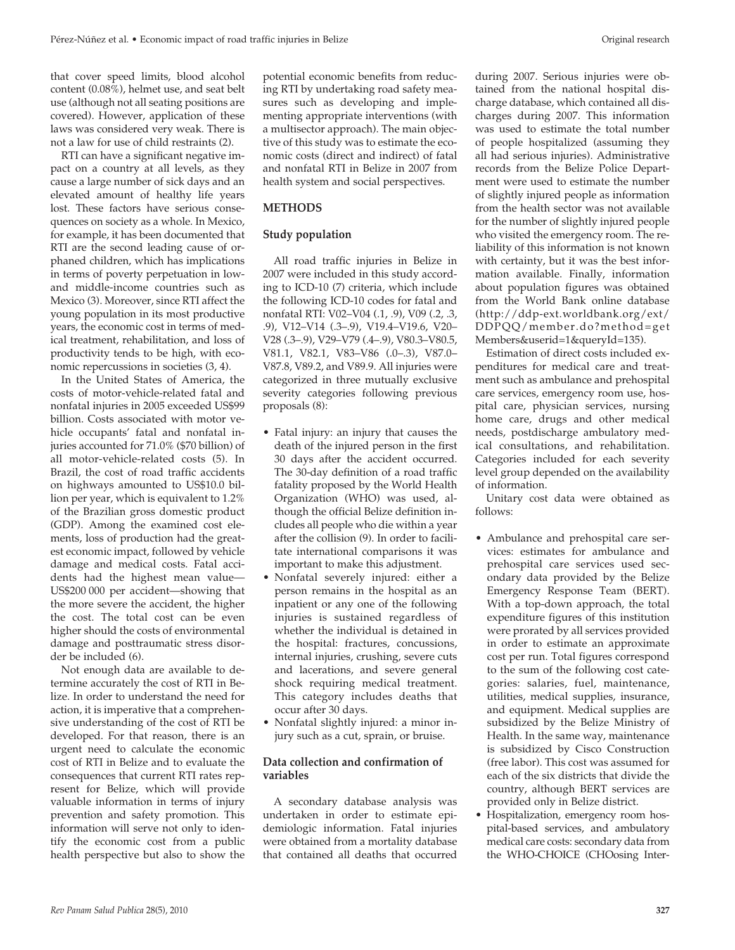that cover speed limits, blood alcohol content (0.08%), helmet use, and seat belt use (although not all seating positions are covered). However, application of these laws was considered very weak. There is not a law for use of child restraints (2).

RTI can have a significant negative impact on a country at all levels, as they cause a large number of sick days and an elevated amount of healthy life years lost. These factors have serious consequences on society as a whole. In Mexico, for example, it has been documented that RTI are the second leading cause of orphaned children, which has implications in terms of poverty perpetuation in lowand middle-income countries such as Mexico (3). Moreover, since RTI affect the young population in its most productive years, the economic cost in terms of medical treatment, rehabilitation, and loss of productivity tends to be high, with economic repercussions in societies (3, 4).

In the United States of America, the costs of motor-vehicle-related fatal and nonfatal injuries in 2005 exceeded US\$99 billion. Costs associated with motor vehicle occupants' fatal and nonfatal injuries accounted for 71.0% (\$70 billion) of all motor-vehicle-related costs (5). In Brazil, the cost of road traffic accidents on highways amounted to US\$10.0 billion per year, which is equivalent to 1.2% of the Brazilian gross domestic product (GDP). Among the examined cost elements, loss of production had the greatest economic impact, followed by vehicle damage and medical costs. Fatal accidents had the highest mean value— US\$200 000 per accident—showing that the more severe the accident, the higher the cost. The total cost can be even higher should the costs of environmental damage and posttraumatic stress disorder be included (6).

Not enough data are available to determine accurately the cost of RTI in Belize. In order to understand the need for action, it is imperative that a comprehensive understanding of the cost of RTI be developed. For that reason, there is an urgent need to calculate the economic cost of RTI in Belize and to evaluate the consequences that current RTI rates represent for Belize, which will provide valuable information in terms of injury prevention and safety promotion. This information will serve not only to identify the economic cost from a public health perspective but also to show the

potential economic benefits from reducing RTI by undertaking road safety measures such as developing and implementing appropriate interventions (with a multisector approach). The main objective of this study was to estimate the economic costs (direct and indirect) of fatal and nonfatal RTI in Belize in 2007 from health system and social perspectives.

# **METHODS**

# **Study population**

All road traffic injuries in Belize in 2007 were included in this study according to ICD-10 (7) criteria, which include the following ICD-10 codes for fatal and nonfatal RTI: V02–V04 (.1, .9), V09 (.2, .3, .9), V12–V14 (.3–.9), V19.4–V19.6, V20– V28 (.3–.9), V29–V79 (.4–.9), V80.3–V80.5, V81.1, V82.1, V83–V86 (.0–.3), V87.0– V87.8, V89.2, and V89.9. All injuries were categorized in three mutually exclusive severity categories following previous proposals (8):

- Fatal injury: an injury that causes the death of the injured person in the first 30 days after the accident occurred. The 30-day definition of a road traffic fatality proposed by the World Health Organization (WHO) was used, although the official Belize definition includes all people who die within a year after the collision (9). In order to facilitate international comparisons it was important to make this adjustment.
- Nonfatal severely injured: either a person remains in the hospital as an inpatient or any one of the following injuries is sustained regardless of whether the individual is detained in the hospital: fractures, concussions, internal injuries, crushing, severe cuts and lacerations, and severe general shock requiring medical treatment. This category includes deaths that occur after 30 days.
- Nonfatal slightly injured: a minor injury such as a cut, sprain, or bruise.

# **Data collection and confirmation of variables**

A secondary database analysis was undertaken in order to estimate epidemiologic information. Fatal injuries were obtained from a mortality database that contained all deaths that occurred

during 2007. Serious injuries were obtained from the national hospital discharge database, which contained all discharges during 2007. This information was used to estimate the total number of people hospitalized (assuming they all had serious injuries). Administrative records from the Belize Police Department were used to estimate the number of slightly injured people as information from the health sector was not available for the number of slightly injured people who visited the emergency room. The reliability of this information is not known with certainty, but it was the best information available. Finally, information about population figures was obtained from the World Bank online database (http://ddp-ext.worldbank.org/ext/ DDPQQ/member.do?method=get Members&userid=1&queryId=135).

Estimation of direct costs included expenditures for medical care and treatment such as ambulance and prehospital care services, emergency room use, hospital care, physician services, nursing home care, drugs and other medical needs, postdischarge ambulatory medical consultations, and rehabilitation. Categories included for each severity level group depended on the availability of information.

Unitary cost data were obtained as follows:

- Ambulance and prehospital care services: estimates for ambulance and prehospital care services used secondary data provided by the Belize Emergency Response Team (BERT). With a top-down approach, the total expenditure figures of this institution were prorated by all services provided in order to estimate an approximate cost per run. Total figures correspond to the sum of the following cost categories: salaries, fuel, maintenance, utilities, medical supplies, insurance, and equipment. Medical supplies are subsidized by the Belize Ministry of Health. In the same way, maintenance is subsidized by Cisco Construction (free labor). This cost was assumed for each of the six districts that divide the country, although BERT services are provided only in Belize district.
- Hospitalization, emergency room hospital-based services, and ambulatory medical care costs: secondary data from the WHO-CHOICE (CHOosing Inter-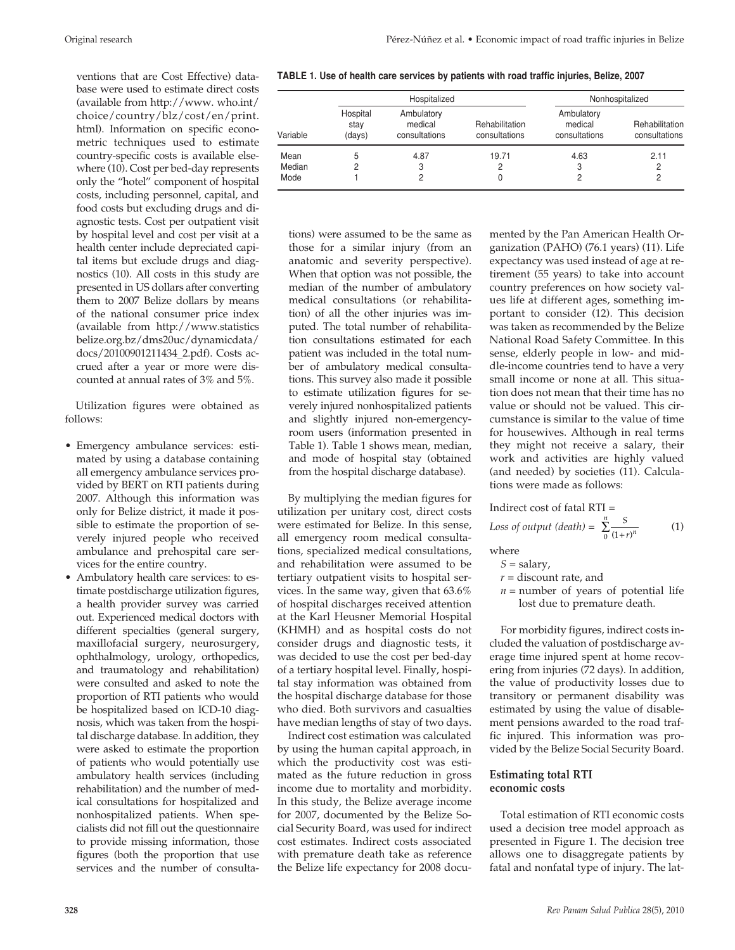ventions that are Cost Effective) database were used to estimate direct costs (available from http://www. who.int/ choice/country/blz/cost/en/print. html). Information on specific econometric techniques used to estimate country-specific costs is available elsewhere (10). Cost per bed-day represents only the "hotel" component of hospital costs, including personnel, capital, and food costs but excluding drugs and diagnostic tests. Cost per outpatient visit by hospital level and cost per visit at a health center include depreciated capital items but exclude drugs and diagnostics (10). All costs in this study are presented in US dollars after converting them to 2007 Belize dollars by means of the national consumer price index (available from http://www.statistics belize.org.bz/dms20uc/dynamicdata/ docs/20100901211434\_2.pdf). Costs accrued after a year or more were discounted at annual rates of 3% and 5%.

Utilization figures were obtained as follows:

- Emergency ambulance services: estimated by using a database containing all emergency ambulance services provided by BERT on RTI patients during 2007. Although this information was only for Belize district, it made it possible to estimate the proportion of severely injured people who received ambulance and prehospital care services for the entire country.
- Ambulatory health care services: to estimate postdischarge utilization figures, a health provider survey was carried out. Experienced medical doctors with different specialties (general surgery, maxillofacial surgery, neurosurgery, ophthalmology, urology, orthopedics, and traumatology and rehabilitation) were consulted and asked to note the proportion of RTI patients who would be hospitalized based on ICD-10 diagnosis, which was taken from the hospital discharge database. In addition, they were asked to estimate the proportion of patients who would potentially use ambulatory health services (including rehabilitation) and the number of medical consultations for hospitalized and nonhospitalized patients. When specialists did not fill out the questionnaire to provide missing information, those figures (both the proportion that use services and the number of consulta-

| TABLE 1. Use of health care services by patients with road traffic injuries, Belize, 2007 |  |  |  |  |
|-------------------------------------------------------------------------------------------|--|--|--|--|
|-------------------------------------------------------------------------------------------|--|--|--|--|

|          |                            | Hospitalized                           |                                 |                                        | Nonhospitalized                 |
|----------|----------------------------|----------------------------------------|---------------------------------|----------------------------------------|---------------------------------|
| Variable | Hospital<br>stay<br>(days) | Ambulatory<br>medical<br>consultations | Rehabilitation<br>consultations | Ambulatory<br>medical<br>consultations | Rehabilitation<br>consultations |
| Mean     | 5                          | 4.87                                   | 19.71                           | 4.63                                   | 2.11                            |
| Median   | 2                          | 3                                      |                                 | 3                                      | 2                               |
| Mode     |                            | 2                                      |                                 |                                        | 2                               |

tions) were assumed to be the same as those for a similar injury (from an anatomic and severity perspective). When that option was not possible, the median of the number of ambulatory medical consultations (or rehabilitation) of all the other injuries was imputed. The total number of rehabilitation consultations estimated for each patient was included in the total number of ambulatory medical consultations. This survey also made it possible to estimate utilization figures for severely injured nonhospitalized patients and slightly injured non-emergencyroom users (information presented in Table 1). Table 1 shows mean, median, and mode of hospital stay (obtained from the hospital discharge database).

By multiplying the median figures for utilization per unitary cost, direct costs were estimated for Belize. In this sense, all emergency room medical consultations, specialized medical consultations, and rehabilitation were assumed to be tertiary outpatient visits to hospital services. In the same way, given that 63.6% of hospital discharges received attention at the Karl Heusner Memorial Hospital (KHMH) and as hospital costs do not consider drugs and diagnostic tests, it was decided to use the cost per bed-day of a tertiary hospital level. Finally, hospital stay information was obtained from the hospital discharge database for those who died. Both survivors and casualties have median lengths of stay of two days.

Indirect cost estimation was calculated by using the human capital approach, in which the productivity cost was estimated as the future reduction in gross income due to mortality and morbidity. In this study, the Belize average income for 2007, documented by the Belize Social Security Board, was used for indirect cost estimates. Indirect costs associated with premature death take as reference the Belize life expectancy for 2008 documented by the Pan American Health Organization (PAHO) (76.1 years) (11). Life expectancy was used instead of age at retirement (55 years) to take into account country preferences on how society values life at different ages, something important to consider (12). This decision was taken as recommended by the Belize National Road Safety Committee. In this sense, elderly people in low- and middle-income countries tend to have a very small income or none at all. This situation does not mean that their time has no value or should not be valued. This circumstance is similar to the value of time for housewives. Although in real terms they might not receive a salary, their work and activities are highly valued (and needed) by societies (11). Calculations were made as follows:

Indirect cost of fatal RTI =  
Loss of output (death) = 
$$
\sum_{0}^{n} \frac{S}{(1+r)^{n}}
$$
 (1)

where

- $S = \text{salary}$ ,
- *r* = discount rate, and
- $n =$  number of years of potential life lost due to premature death.

For morbidity figures, indirect costs included the valuation of postdischarge average time injured spent at home recovering from injuries (72 days). In addition, the value of productivity losses due to transitory or permanent disability was estimated by using the value of disablement pensions awarded to the road traffic injured. This information was provided by the Belize Social Security Board.

# **Estimating total RTI economic costs**

Total estimation of RTI economic costs used a decision tree model approach as presented in Figure 1. The decision tree allows one to disaggregate patients by fatal and nonfatal type of injury. The lat-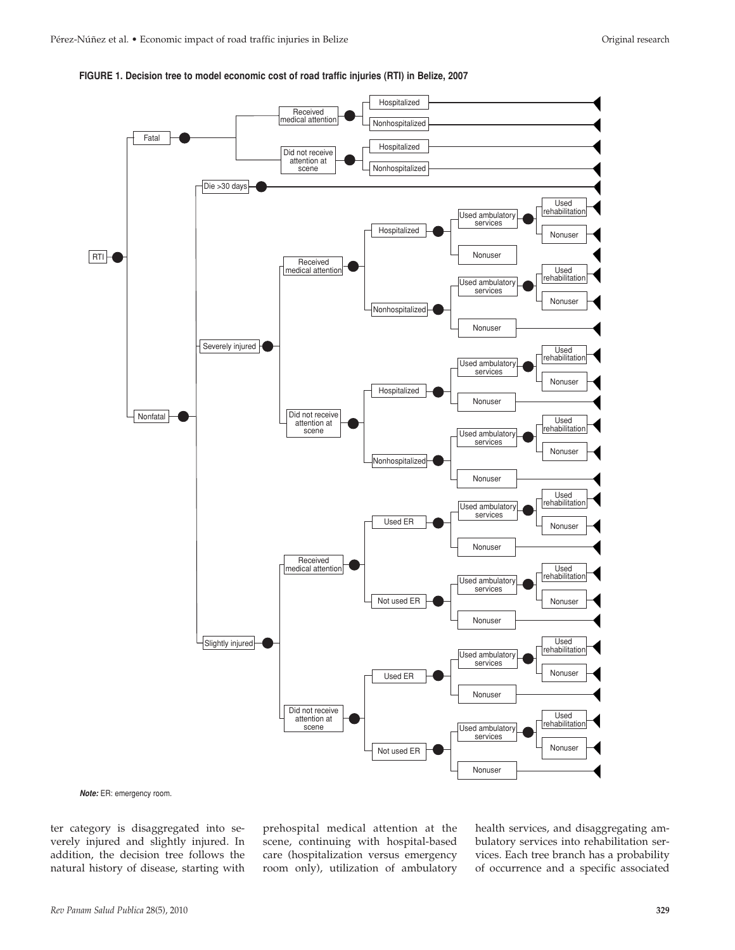



**Note:** ER: emergency room.

ter category is disaggregated into severely injured and slightly injured. In addition, the decision tree follows the natural history of disease, starting with

prehospital medical attention at the scene, continuing with hospital-based care (hospitalization versus emergency room only), utilization of ambulatory

health services, and disaggregating ambulatory services into rehabilitation services. Each tree branch has a probability of occurrence and a specific associated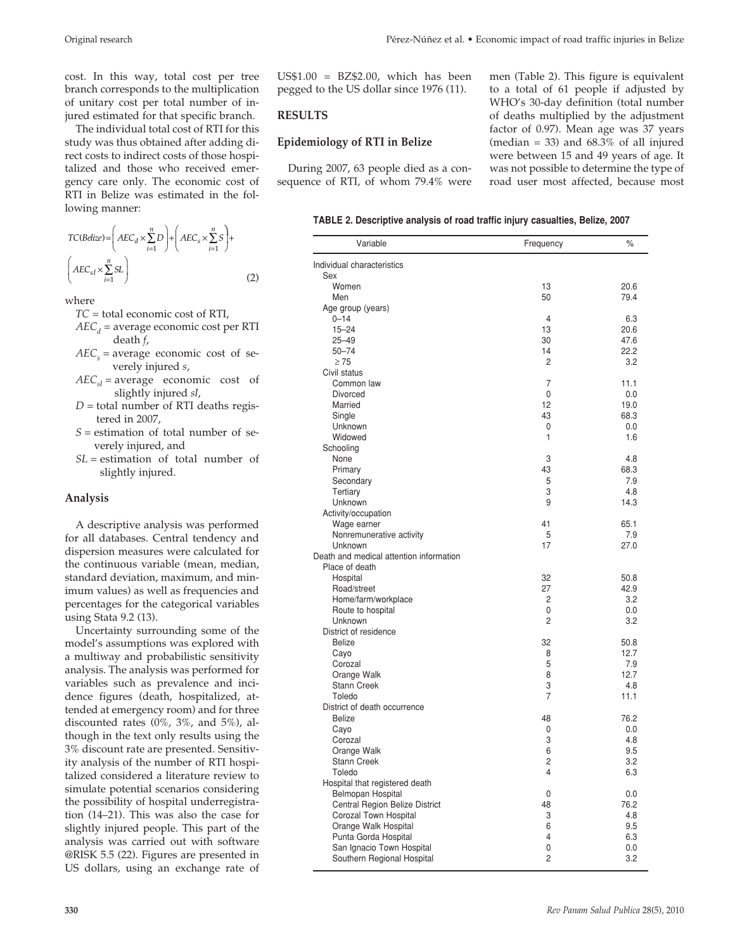cost. In this way, total cost per tree branch corresponds to the multiplication of unitary cost per total number of injured estimated for that specific branch.

The individual total cost of RTI for this study was thus obtained after adding direct costs to indirect costs of those hospitalized and those who received emergency care only. The economic cost of RTI in Belize was estimated in the following manner:

$$
TC(Belize) = \left( AEC_d \times \sum_{i=1}^n D \right) + \left( AEC_s \times \sum_{i=1}^n S \right) +
$$
  

$$
\left( AEC_{sl} \times \sum_{i=1}^n SL \right)
$$
 (2)

where

- *TC* = total economic cost of RTI,
- $AEC<sub>d</sub>$  = average economic cost per RTI death *f*,
- $AEC<sub>s</sub>$  = average economic cost of severely injured *s*,
- $AEC_{sl}$  = average economic cost of slightly injured *sl*,
- $D =$  total number of RTI deaths registered in 2007,
- *S* = estimation of total number of severely injured, and
- *SL* = estimation of total number of slightly injured.

## **Analysis**

A descriptive analysis was performed for all databases. Central tendency and dispersion measures were calculated for the continuous variable (mean, median, standard deviation, maximum, and minimum values) as well as frequencies and percentages for the categorical variables using Stata 9.2 (13).

Uncertainty surrounding some of the model's assumptions was explored with a multiway and probabilistic sensitivity analysis. The analysis was performed for variables such as prevalence and incidence figures (death, hospitalized, attended at emergency room) and for three discounted rates (0%, 3%, and 5%), although in the text only results using the 3% discount rate are presented. Sensitivity analysis of the number of RTI hospitalized considered a literature review to simulate potential scenarios considering the possibility of hospital underregistration (14–21). This was also the case for slightly injured people. This part of the analysis was carried out with software @RISK 5.5 (22). Figures are presented in US dollars, using an exchange rate of

 $US$1.00 = BZ$2.00, which has been$ pegged to the US dollar since 1976 (11).

## **RESULTS**

#### **Epidemiology of RTI in Belize**

During 2007, 63 people died as a consequence of RTI, of whom 79.4% were men (Table 2). This figure is equivalent to a total of 61 people if adjusted by WHO's 30-day definition (total number of deaths multiplied by the adjustment factor of 0.97). Mean age was 37 years (median = 33) and  $68.3\%$  of all injured were between 15 and 49 years of age. It was not possible to determine the type of road user most affected, because most

| TABLE 2. Descriptive analysis of road traffic injury casualties, Belize, 2007 |  |  |  |  |  |
|-------------------------------------------------------------------------------|--|--|--|--|--|
|-------------------------------------------------------------------------------|--|--|--|--|--|

| Variable                                | Frequency | %            |
|-----------------------------------------|-----------|--------------|
| Individual characteristics              |           |              |
| Sex                                     |           |              |
| Women                                   | 13        | 20.6         |
| Men                                     | 50        | 79.4         |
| Age group (years)                       |           |              |
| $0 - 14$                                | 4         | 6.3          |
| $15 - 24$<br>$25 - 49$                  | 13<br>30  | 20.6<br>47.6 |
| $50 - 74$                               | 14        | 22.2         |
| > 75                                    | 2         | 3.2          |
| Civil status                            |           |              |
| Common law                              | 7         | 11.1         |
| <b>Divorced</b>                         | 0         | 0.0          |
| Married                                 | 12        | 19.0         |
| Single                                  | 43        | 68.3         |
| Unknown                                 | 0         | 0.0          |
| Widowed                                 | 1         | 1.6          |
| Schooling                               |           |              |
| None                                    | 3         | 4.8          |
| Primary                                 | 43        | 68.3         |
| Secondary                               | 5         | 7.9          |
| Tertiary                                | 3         | 4.8          |
| Unknown                                 | 9         | 14.3         |
| Activity/occupation                     |           |              |
| Wage earner                             | 41        | 65.1         |
| Nonremunerative activity                | 5         | 7.9          |
| Unknown                                 | 17        | 27.0         |
| Death and medical attention information |           |              |
| Place of death                          |           |              |
| Hospital                                | 32        | 50.8         |
| Road/street                             | 27        | 42.9         |
| Home/farm/workplace                     | 2         | 3.2          |
| Route to hospital                       | 0         | 0.0          |
| Unknown                                 | 2         | 3.2          |
| District of residence                   |           |              |
| <b>Belize</b>                           | 32        | 50.8         |
| Cayo                                    | 8         | 12.7         |
| Corozal                                 | 5         | 7.9          |
| Orange Walk                             | 8         | 12.7         |
| Stann Creek                             | 3         | 4.8          |
| Toledo                                  | 7         | 11.1         |
| District of death occurrence            |           |              |
| <b>Belize</b>                           | 48        | 76.2         |
| Cayo                                    | 0<br>3    | 0.0<br>4.8   |
| Corozal<br>Orange Walk                  | 6         | 9.5          |
| <b>Stann Creek</b>                      | 2         | 3.2          |
| Toledo                                  | 4         | 6.3          |
| Hospital that registered death          |           |              |
| Belmopan Hospital                       | 0         | 0.0          |
| Central Region Belize District          | 48        | 76.2         |
| Corozal Town Hospital                   | 3         | 4.8          |
| Orange Walk Hospital                    | 6         | 9.5          |
| Punta Gorda Hospital                    | 4         | 6.3          |
| San Ignacio Town Hospital               | 0         | 0.0          |
| Southern Regional Hospital              | 2         | 3.2          |
|                                         |           |              |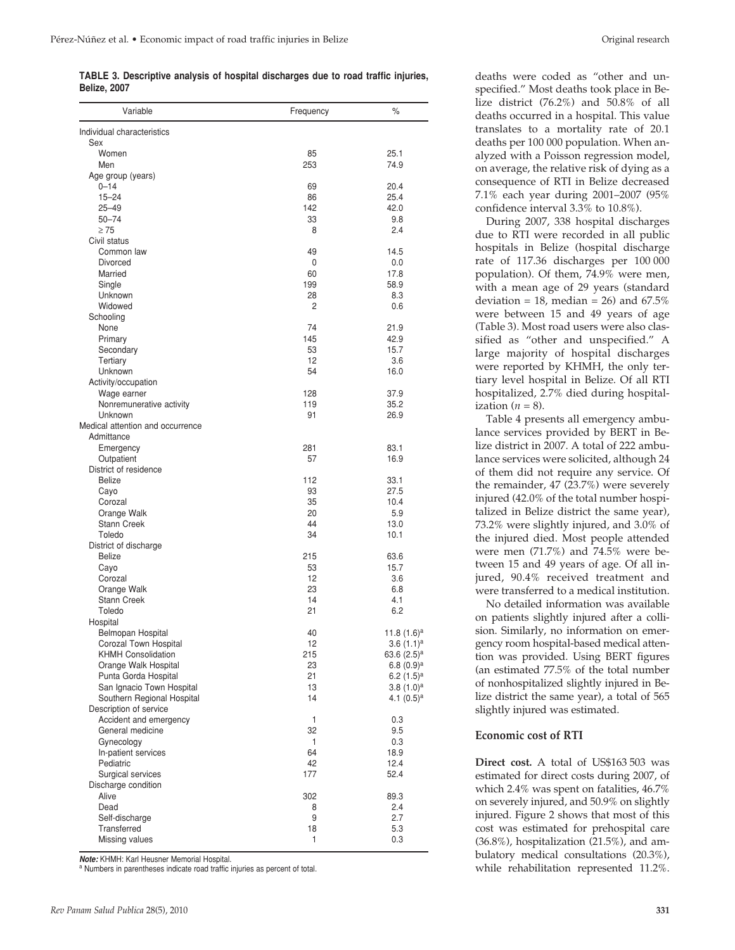**TABLE 3. Descriptive analysis of hospital discharges due to road traffic injuries, Belize, 2007**

| Variable                                   | Frequency | $\%$                            |
|--------------------------------------------|-----------|---------------------------------|
| Individual characteristics                 |           |                                 |
| Sex<br>Women                               | 85        | 25.1                            |
| Men                                        | 253       | 74.9                            |
| Age group (years)                          |           |                                 |
| $0 - 14$<br>$15 - 24$                      | 69<br>86  | 20.4<br>25.4                    |
| $25 - 49$                                  | 142       | 42.0                            |
| $50 - 74$                                  | 33        | 9.8                             |
| $\geq 75$                                  | 8         | 2.4                             |
| Civil status                               |           |                                 |
| Common law<br>Divorced                     | 49<br>0   | 14.5<br>0.0                     |
| Married                                    | 60        | 17.8                            |
| Single                                     | 199       | 58.9                            |
| Unknown                                    | 28        | 8.3                             |
| Widowed                                    | 2         | 0.6                             |
| Schooling<br>None                          | 74        | 21.9                            |
| Primary                                    | 145       | 42.9                            |
| Secondary                                  | 53        | 15.7                            |
| Tertiary                                   | 12        | 3.6                             |
| Unknown                                    | 54        | 16.0                            |
| Activity/occupation<br>Wage earner         | 128       | 37.9                            |
| Nonremunerative activity                   | 119       | 35.2                            |
| Unknown                                    | 91        | 26.9                            |
| Medical attention and occurrence           |           |                                 |
| Admittance                                 |           |                                 |
| Emergency                                  | 281       | 83.1                            |
| Outpatient<br>District of residence        | 57        | 16.9                            |
| <b>Belize</b>                              | 112       | 33.1                            |
| Cayo                                       | 93        | 27.5                            |
| Corozal                                    | 35        | 10.4                            |
| Orange Walk                                | 20        | 5.9                             |
| <b>Stann Creek</b><br>Toledo               | 44<br>34  | 13.0<br>10.1                    |
| District of discharge                      |           |                                 |
| Belize                                     | 215       | 63.6                            |
| Cayo                                       | 53        | 15.7                            |
| Corozal                                    | 12        | 3.6                             |
| Orange Walk<br><b>Stann Creek</b>          | 23<br>14  | 6.8<br>4.1                      |
| Toledo                                     | 21        | 6.2                             |
| Hospital                                   |           |                                 |
| Belmopan Hospital                          | 40        | 11.8 $(1.6)^a$                  |
| Corozal Town Hospital                      | 12        | $3.6(1.1)^a$                    |
| KHMH Consolidation<br>Orange Walk Hospital | 215<br>23 | 63.6 $(2.5)^a$<br>6.8 $(0.9)^a$ |
| Punta Gorda Hospital                       | 21        | 6.2 $(1.5)^a$                   |
| San Ignacio Town Hospital                  | 13        | $3.8(1.0)^a$                    |
| Southern Regional Hospital                 | 14        | 4.1 $(0.5)^a$                   |
| Description of service                     |           |                                 |
| Accident and emergency                     | 1         | 0.3                             |
| General medicine<br>Gynecology             | 32<br>1   | 9.5<br>0.3                      |
| In-patient services                        | 64        | 18.9                            |
| Pediatric                                  | 42        | 12.4                            |
| Surgical services                          | 177       | 52.4                            |
| Discharge condition                        |           |                                 |
| Alive<br>Dead                              | 302<br>8  | 89.3<br>2.4                     |
| Self-discharge                             | 9         | 2.7                             |
| Transferred                                | 18        | 5.3                             |
| Missing values                             | 1         | 0.3                             |

**Note:** KHMH: Karl Heusner Memorial Hospital.

<sup>a</sup> Numbers in parentheses indicate road traffic injuries as percent of total.

deaths were coded as "other and unspecified." Most deaths took place in Belize district  $(76.2\%)$  and  $50.8\%$  of all deaths occurred in a hospital. This value translates to a mortality rate of 20.1 deaths per 100 000 population. When analyzed with a Poisson regression model, on average, the relative risk of dying as a consequence of RTI in Belize decreased 7.1% each year during 2001–2007 (95% confidence interval 3.3% to 10.8%).

During 2007, 338 hospital discharges due to RTI were recorded in all public hospitals in Belize (hospital discharge rate of 117.36 discharges per 100 000 population). Of them, 74.9% were men, with a mean age of 29 years (standard deviation = 18, median = 26) and  $67.5\%$ were between 15 and 49 years of age (Table 3). Most road users were also classified as "other and unspecified." A large majority of hospital discharges were reported by KHMH, the only tertiary level hospital in Belize. Of all RTI hospitalized, 2.7% died during hospitalization  $(n = 8)$ .

Table 4 presents all emergency ambulance services provided by BERT in Belize district in 2007. A total of 222 ambulance services were solicited, although 24 of them did not require any service. Of the remainder, 47 (23.7%) were severely injured (42.0% of the total number hospitalized in Belize district the same year), 73.2% were slightly injured, and 3.0% of the injured died. Most people attended were men (71.7%) and 74.5% were between 15 and 49 years of age. Of all injured, 90.4% received treatment and were transferred to a medical institution.

No detailed information was available on patients slightly injured after a collision. Similarly, no information on emergency room hospital-based medical attention was provided. Using BERT figures (an estimated 77.5% of the total number of nonhospitalized slightly injured in Belize district the same year), a total of 565 slightly injured was estimated.

#### **Economic cost of RTI**

**Direct cost.** A total of US\$163 503 was estimated for direct costs during 2007, of which 2.4% was spent on fatalities, 46.7% on severely injured, and 50.9% on slightly injured. Figure 2 shows that most of this cost was estimated for prehospital care (36.8%), hospitalization (21.5%), and ambulatory medical consultations (20.3%), while rehabilitation represented 11.2%.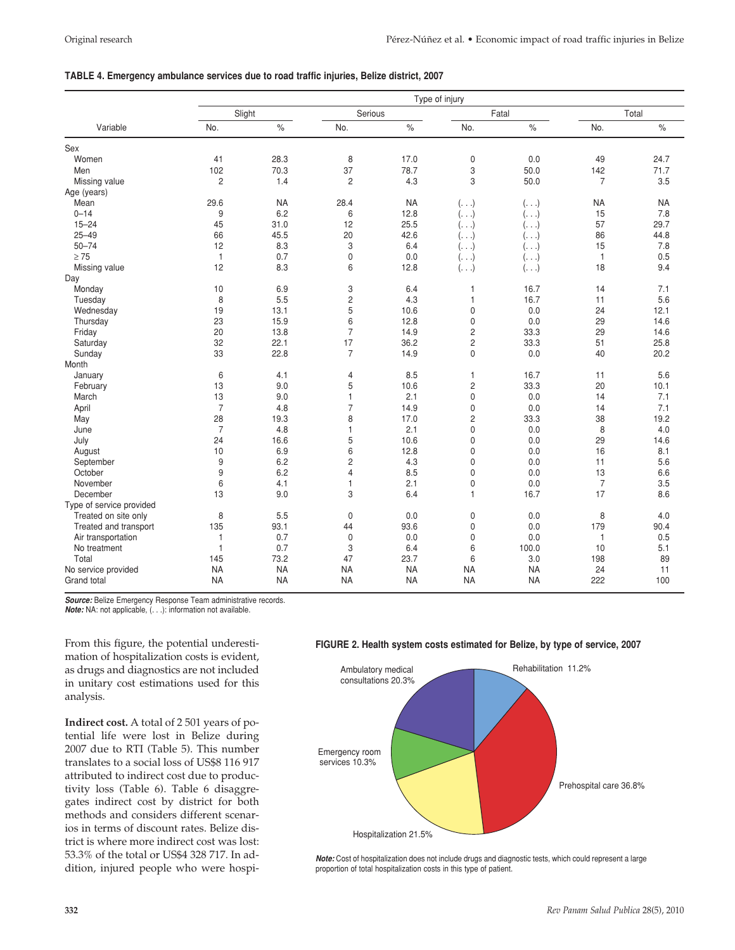#### **TABLE 4. Emergency ambulance services due to road traffic injuries, Belize district, 2007**

|                          |                |           |                         |           | Type of injury |              |                |           |
|--------------------------|----------------|-----------|-------------------------|-----------|----------------|--------------|----------------|-----------|
|                          | Slight         |           | Serious                 |           |                | Fatal        |                | Total     |
| Variable                 | No.            | $\%$      | No.                     | $\%$      | No.            | $\%$         | No.            | $\%$      |
| Sex                      |                |           |                         |           |                |              |                |           |
| Women                    | 41             | 28.3      | 8                       | 17.0      | $\mathsf 0$    | 0.0          | 49             | 24.7      |
| Men                      | 102            | 70.3      | 37                      | 78.7      | 3              | 50.0         | 142            | 71.7      |
| Missing value            | 2              | 1.4       | $\overline{c}$          | 4.3       | 3              | 50.0         | $\overline{7}$ | 3.5       |
| Age (years)              |                |           |                         |           |                |              |                |           |
| Mean                     | 29.6           | <b>NA</b> | 28.4                    | <b>NA</b> | $(\ldots)$     | $( \ldots )$ | <b>NA</b>      | <b>NA</b> |
| $0 - 14$                 | 9              | 6.2       | 6                       | 12.8      | $(\ldots)$     | $( \ldots )$ | 15             | 7.8       |
| $15 - 24$                | 45             | 31.0      | 12                      | 25.5      | (.)            | $(\ldots)$   | 57             | 29.7      |
| $25 - 49$                | 66             | 45.5      | 20                      | 42.6      | ( )            | ( )          | 86             | 44.8      |
| $50 - 74$                | 12             | 8.3       | 3                       | 6.4       | (.)            | ( )          | 15             | 7.8       |
| $\geq 75$                | $\mathbf{1}$   | 0.7       | $\mathsf 0$             | 0.0       | $( \ldots )$   | $( \ldots )$ | $\mathbf{1}$   | 0.5       |
| Missing value            | 12             | 8.3       | 6                       | 12.8      | $(. \ .)$      | $( \ldots )$ | 18             | 9.4       |
| Day                      |                |           |                         |           |                |              |                |           |
| Monday                   | 10             | 6.9       | 3                       | 6.4       | $\overline{1}$ | 16.7         | 14             | 7.1       |
| Tuesday                  | 8              | 5.5       | $\overline{\mathbf{c}}$ | 4.3       | $\mathbf{1}$   | 16.7         | 11             | 5.6       |
| Wednesday                | 19             | 13.1      | 5                       | 10.6      | $\mathbf 0$    | 0.0          | 24             | 12.1      |
| Thursday                 | 23             | 15.9      | 6                       | 12.8      | $\mathbf 0$    | 0.0          | 29             | 14.6      |
| Friday                   | 20             | 13.8      | $\overline{7}$          | 14.9      | $\overline{c}$ | 33.3         | 29             | 14.6      |
| Saturday                 | 32             | 22.1      | 17                      | 36.2      | $\overline{c}$ | 33.3         | 51             | 25.8      |
| Sunday                   | 33             | 22.8      | $\overline{7}$          | 14.9      | $\mathbf 0$    | 0.0          | 40             | 20.2      |
| Month                    |                |           |                         |           |                |              |                |           |
| January                  | 6              | 4.1       | 4                       | 8.5       | $\mathbf{1}$   | 16.7         | 11             | 5.6       |
| February                 | 13             | 9.0       | 5                       | 10.6      | $\overline{c}$ | 33.3         | 20             | 10.1      |
| March                    | 13             | 9.0       | 1                       | 2.1       | $\mathbf 0$    | 0.0          | 14             | 7.1       |
| April                    | $\overline{7}$ | 4.8       | $\overline{7}$          | 14.9      | $\mathbf 0$    | 0.0          | 14             | 7.1       |
| May                      | 28             | 19.3      | 8                       | 17.0      | $\overline{c}$ | 33.3         | 38             | 19.2      |
| June                     | $\overline{7}$ | 4.8       | 1                       | 2.1       | $\mathbf 0$    | 0.0          | 8              | 4.0       |
| July                     | 24             | 16.6      | 5                       | 10.6      | $\mathbf 0$    | 0.0          | 29             | 14.6      |
| August                   | 10             | 6.9       | 6                       | 12.8      | $\mathbf 0$    | 0.0          | 16             | 8.1       |
| September                | 9              | 6.2       | $\overline{c}$          | 4.3       | $\mathbf 0$    | 0.0          | 11             | 5.6       |
| October                  | 9              | 6.2       | 4                       | 8.5       | $\mathbf 0$    | 0.0          | 13             | 6.6       |
| November                 | 6              | 4.1       | 1                       | 2.1       | $\mathbf 0$    | 0.0          | $\overline{7}$ | 3.5       |
| December                 | 13             | 9.0       | 3                       | 6.4       | $\mathbf{1}$   | 16.7         | 17             | 8.6       |
| Type of service provided |                |           |                         |           |                |              |                |           |
| Treated on site only     | 8              | 5.5       | $\mathsf 0$             | 0.0       | $\mathsf 0$    | 0.0          | 8              | 4.0       |
| Treated and transport    | 135            | 93.1      | 44                      | 93.6      | $\mathbf 0$    | 0.0          | 179            | 90.4      |
| Air transportation       | $\mathbf{1}$   | 0.7       | 0                       | 0.0       | $\mathbf 0$    | 0.0          | $\mathbf{1}$   | 0.5       |
| No treatment             | $\mathbf{1}$   | 0.7       | 3                       | 6.4       | 6              | 100.0        | 10             | 5.1       |
| Total                    | 145            | 73.2      | 47                      | 23.7      | 6              | 3.0          | 198            | 89        |
| No service provided      | <b>NA</b>      | <b>NA</b> | <b>NA</b>               | <b>NA</b> | <b>NA</b>      | <b>NA</b>    | 24             | 11        |
| Grand total              | <b>NA</b>      | <b>NA</b> | <b>NA</b>               | <b>NA</b> | <b>NA</b>      | <b>NA</b>    | 222            | 100       |

**Source:** Belize Emergency Response Team administrative records. **Note:** NA: not applicable, (. . .): information not available.

From this figure, the potential underestimation of hospitalization costs is evident, as drugs and diagnostics are not included in unitary cost estimations used for this analysis.

**Indirect cost.** A total of 2 501 years of potential life were lost in Belize during 2007 due to RTI (Table 5). This number translates to a social loss of US\$8 116 917 attributed to indirect cost due to productivity loss (Table 6). Table 6 disaggregates indirect cost by district for both methods and considers different scenarios in terms of discount rates. Belize district is where more indirect cost was lost: 53.3% of the total or US\$4 328 717. In addition, injured people who were hospi-

#### **FIGURE 2. Health system costs estimated for Belize, by type of service, 2007**



**Note:** Cost of hospitalization does not include drugs and diagnostic tests, which could represent a large proportion of total hospitalization costs in this type of patient.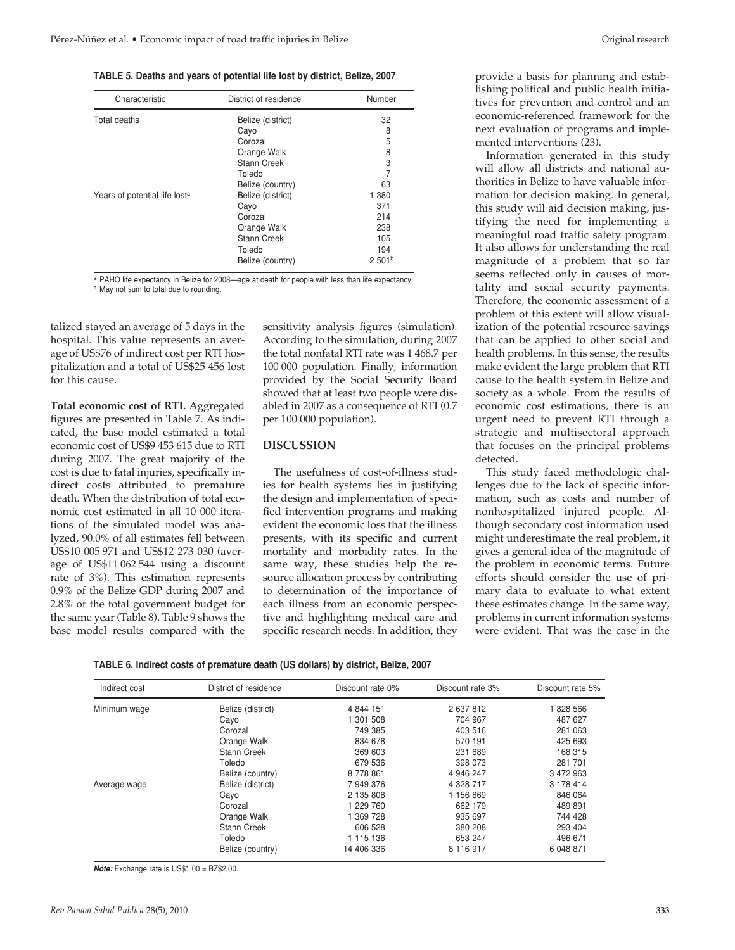**TABLE 5. Deaths and years of potential life lost by district, Belize, 2007**

| Characteristic                            | District of residence | Number             |
|-------------------------------------------|-----------------------|--------------------|
| Total deaths                              | Belize (district)     | 32                 |
|                                           | Cayo                  | 8                  |
|                                           | Corozal               | 5                  |
|                                           | Orange Walk           | 8                  |
|                                           | Stann Creek           | 3                  |
|                                           | Toledo                | 7                  |
|                                           | Belize (country)      | 63                 |
| Years of potential life lost <sup>a</sup> | Belize (district)     | 1 3 8 0            |
|                                           | Cayo                  | 371                |
|                                           | Corozal               | 214                |
|                                           | Orange Walk           | 238                |
|                                           | Stann Creek           | 105                |
|                                           | Toledo                | 194                |
|                                           | Belize (country)      | 2.501 <sup>b</sup> |

a PAHO life expectancy in Belize for 2008—age at death for people with less than life expectancy. **b** May not sum to total due to rounding.

talized stayed an average of 5 days in the hospital. This value represents an average of US\$76 of indirect cost per RTI hospitalization and a total of US\$25 456 lost for this cause.

**Total economic cost of RTI.** Aggregated figures are presented in Table 7. As indicated, the base model estimated a total economic cost of US\$9 453 615 due to RTI during 2007. The great majority of the cost is due to fatal injuries, specifically indirect costs attributed to premature death. When the distribution of total economic cost estimated in all 10 000 iterations of the simulated model was analyzed, 90.0% of all estimates fell between US\$10 005 971 and US\$12 273 030 (average of US\$11 062 544 using a discount rate of 3%). This estimation represents 0.9% of the Belize GDP during 2007 and 2.8% of the total government budget for the same year (Table 8). Table 9 shows the base model results compared with the

sensitivity analysis figures (simulation). According to the simulation, during 2007 the total nonfatal RTI rate was 1 468.7 per 100 000 population. Finally, information provided by the Social Security Board showed that at least two people were disabled in 2007 as a consequence of RTI (0.7 per 100 000 population).

#### **DISCUSSION**

The usefulness of cost-of-illness studies for health systems lies in justifying the design and implementation of specified intervention programs and making evident the economic loss that the illness presents, with its specific and current mortality and morbidity rates. In the same way, these studies help the resource allocation process by contributing to determination of the importance of each illness from an economic perspective and highlighting medical care and specific research needs. In addition, they

provide a basis for planning and establishing political and public health initiatives for prevention and control and an economic-referenced framework for the next evaluation of programs and implemented interventions (23).

Information generated in this study will allow all districts and national authorities in Belize to have valuable information for decision making. In general, this study will aid decision making, justifying the need for implementing a meaningful road traffic safety program. It also allows for understanding the real magnitude of a problem that so far seems reflected only in causes of mortality and social security payments. Therefore, the economic assessment of a problem of this extent will allow visualization of the potential resource savings that can be applied to other social and health problems. In this sense, the results make evident the large problem that RTI cause to the health system in Belize and society as a whole. From the results of economic cost estimations, there is an urgent need to prevent RTI through a strategic and multisectoral approach that focuses on the principal problems detected.

This study faced methodologic challenges due to the lack of specific information, such as costs and number of nonhospitalized injured people. Although secondary cost information used might underestimate the real problem, it gives a general idea of the magnitude of the problem in economic terms. Future efforts should consider the use of primary data to evaluate to what extent these estimates change. In the same way, problems in current information systems were evident. That was the case in the

| TABLE 6. Indirect costs of premature death (US dollars) by district, Belize, 2007 |  |  |  |  |
|-----------------------------------------------------------------------------------|--|--|--|--|
|-----------------------------------------------------------------------------------|--|--|--|--|

| Indirect cost | District of residence | Discount rate 0% | Discount rate 3% | Discount rate 5% |
|---------------|-----------------------|------------------|------------------|------------------|
| Minimum wage  | Belize (district)     | 4 844 151        | 2 637 812        | 1828 566         |
|               | Cayo                  | 1 301 508        | 704 967          | 487 627          |
|               | Corozal               | 749 385          | 403 516          | 281 063          |
|               | Orange Walk           | 834 678          | 570 191          | 425 693          |
|               | <b>Stann Creek</b>    | 369 603          | 231 689          | 168 315          |
|               | Toledo                | 679 536          | 398 073          | 281 701          |
|               | Belize (country)      | 8778861          | 4 946 247        | 3 472 963        |
| Average wage  | Belize (district)     | 7 949 376        | 4 328 717        | 3 178 414        |
|               | Cayo                  | 2 135 808        | 1 156 869        | 846 064          |
|               | Corozal               | 1 229 760        | 662 179          | 489 891          |
|               | Orange Walk           | 369 728          | 935 697          | 744 428          |
|               | <b>Stann Creek</b>    | 606 528          | 380 208          | 293 404          |
|               | Toledo                | 1 115 136        | 653 247          | 496 671          |
|               | Belize (country)      | 14 406 336       | 8 116 917        | 6 048 871        |

**Note:** Exchange rate is US\$1.00 = BZ\$2.00.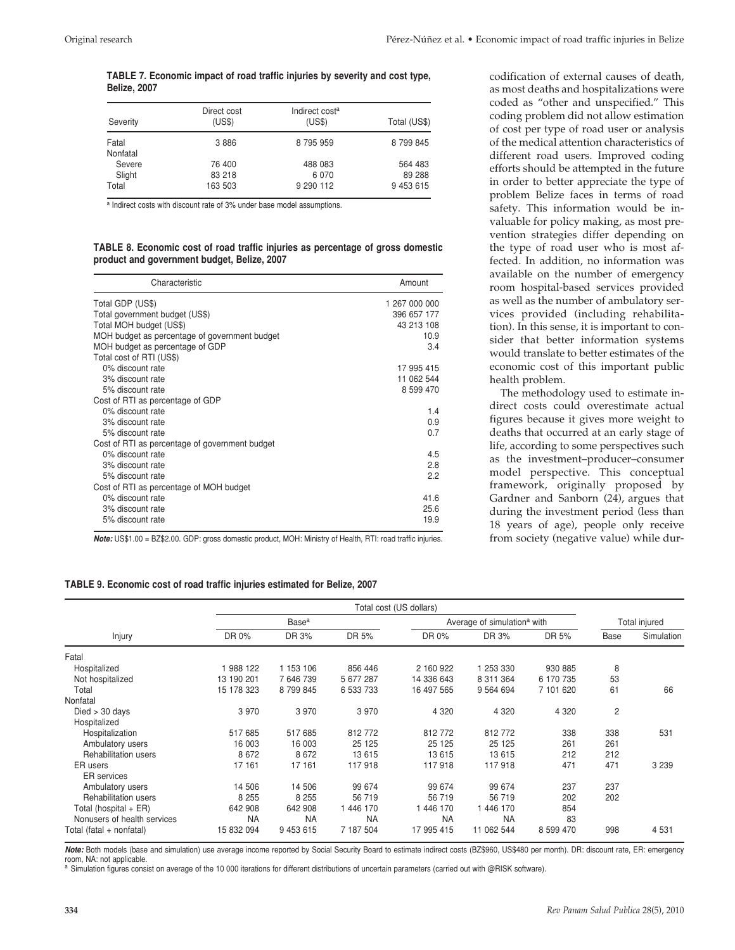#### **TABLE 7. Economic impact of road traffic injuries by severity and cost type, Belize, 2007**

| Severity          | Direct cost<br>(US\$) | Indirect cost <sup>a</sup><br>(US\$) | Total (US\$) |
|-------------------|-----------------------|--------------------------------------|--------------|
| Fatal<br>Nonfatal | 3886                  | 8 795 959                            | 8 799 845    |
| Severe            | 76 400                | 488 083                              | 564 483      |
| Slight            | 83 218                | 6070                                 | 89 288       |
| Total             | 163 503               | 9 290 112                            | 9 453 615    |

a Indirect costs with discount rate of 3% under base model assumptions.

**TABLE 8. Economic cost of road traffic injuries as percentage of gross domestic product and government budget, Belize, 2007**

| Characteristic                                 | Amount        |
|------------------------------------------------|---------------|
| Total GDP (US\$)                               | 1 267 000 000 |
| Total government budget (US\$)                 | 396 657 177   |
| Total MOH budget (US\$)                        | 43 213 108    |
| MOH budget as percentage of government budget  | 10.9          |
| MOH budget as percentage of GDP                | 3.4           |
| Total cost of RTI (US\$)                       |               |
| 0% discount rate                               | 17 995 415    |
| 3% discount rate                               | 11 062 544    |
| 5% discount rate                               | 8 599 470     |
| Cost of RTI as percentage of GDP               |               |
| 0% discount rate                               | 1.4           |
| 3% discount rate                               | 0.9           |
| 5% discount rate                               | 0.7           |
| Cost of RTI as percentage of government budget |               |
| 0% discount rate                               | 4.5           |
| 3% discount rate                               | 2.8           |
| 5% discount rate                               | 2.2           |
| Cost of RTI as percentage of MOH budget        |               |
| 0% discount rate                               | 41.6          |
| 3% discount rate                               | 25.6          |
| 5% discount rate                               | 19.9          |

**Note:** US\$1.00 = BZ\$2.00. GDP: gross domestic product, MOH: Ministry of Health, RTI: road traffic injuries.

codification of external causes of death, as most deaths and hospitalizations were coded as "other and unspecified." This coding problem did not allow estimation of cost per type of road user or analysis of the medical attention characteristics of different road users. Improved coding efforts should be attempted in the future in order to better appreciate the type of problem Belize faces in terms of road safety. This information would be invaluable for policy making, as most prevention strategies differ depending on the type of road user who is most affected. In addition, no information was available on the number of emergency room hospital-based services provided as well as the number of ambulatory services provided (including rehabilitation). In this sense, it is important to consider that better information systems would translate to better estimates of the economic cost of this important public health problem.

The methodology used to estimate indirect costs could overestimate actual figures because it gives more weight to deaths that occurred at an early stage of life, according to some perspectives such as the investment–producer–consumer model perspective. This conceptual framework, originally proposed by Gardner and Sanborn (24), argues that during the investment period (less than 18 years of age), people only receive from society (negative value) while dur-

#### **TABLE 9. Economic cost of road traffic injuries estimated for Belize, 2007**

| Injury                      | Total cost (US dollars)  |           |           |                                         |             |           |               |            |
|-----------------------------|--------------------------|-----------|-----------|-----------------------------------------|-------------|-----------|---------------|------------|
|                             | <b>Base</b> <sup>a</sup> |           |           | Average of simulation <sup>a</sup> with |             |           | Total injured |            |
|                             | DR 0%                    | DR 3%     | DR 5%     | DR 0%                                   | DR 3%       | DR 5%     | Base          | Simulation |
| Fatal                       |                          |           |           |                                         |             |           |               |            |
| Hospitalized                | 988 122                  | 1 153 106 | 856 446   | 2 160 922                               | 1 253 330   | 930 885   | 8             |            |
| Not hospitalized            | 13 190 201               | 7 646 739 | 5 677 287 | 14 336 643                              | 8 311 364   | 6 170 735 | 53            |            |
| Total                       | 15 178 323               | 8 799 845 | 6 533 733 | 16 497 565                              | 9 5 64 6 94 | 7 101 620 | 61            | 66         |
| Nonfatal                    |                          |           |           |                                         |             |           |               |            |
| $Died > 30$ days            | 3970                     | 3970      | 3970      | 4 3 2 0                                 | 4 3 2 0     | 4 3 2 0   | 2             |            |
| Hospitalized                |                          |           |           |                                         |             |           |               |            |
| Hospitalization             | 517 685                  | 517 685   | 812772    | 812772                                  | 812772      | 338       | 338           | 531        |
| Ambulatory users            | 16 003                   | 16 003    | 25 1 25   | 25 1 25                                 | 25 1 25     | 261       | 261           |            |
| Rehabilitation users        | 8672                     | 8672      | 13 6 15   | 13 615                                  | 13 6 15     | 212       | 212           |            |
| ER users                    | 17 161                   | 17 161    | 117918    | 117918                                  | 117918      | 471       | 471           | 3 2 3 9    |
| <b>ER</b> services          |                          |           |           |                                         |             |           |               |            |
| Ambulatory users            | 14 506                   | 14 506    | 99 674    | 99 674                                  | 99 674      | 237       | 237           |            |
| <b>Rehabilitation users</b> | 8 2 5 5                  | 8 2 5 5   | 56 719    | 56 719                                  | 56 719      | 202       | 202           |            |
| Total (hospital $+ER$ )     | 642 908                  | 642 908   | 446 170   | 446 170                                 | 446 170     | 854       |               |            |
| Nonusers of health services | <b>NA</b>                | <b>NA</b> | <b>NA</b> | <b>NA</b>                               | <b>NA</b>   | 83        |               |            |
| Total (fatal + nonfatal)    | 15 832 094               | 9 453 615 | 7 187 504 | 17 995 415                              | 11 062 544  | 8 599 470 | 998           | 4 5 31     |

**Note:** Both models (base and simulation) use average income reported by Social Security Board to estimate indirect costs (BZ\$960, US\$480 per month). DR: discount rate, ER: emergency room, NA: not applicable.

a Simulation figures consist on average of the 10 000 iterations for different distributions of uncertain parameters (carried out with @RISK software).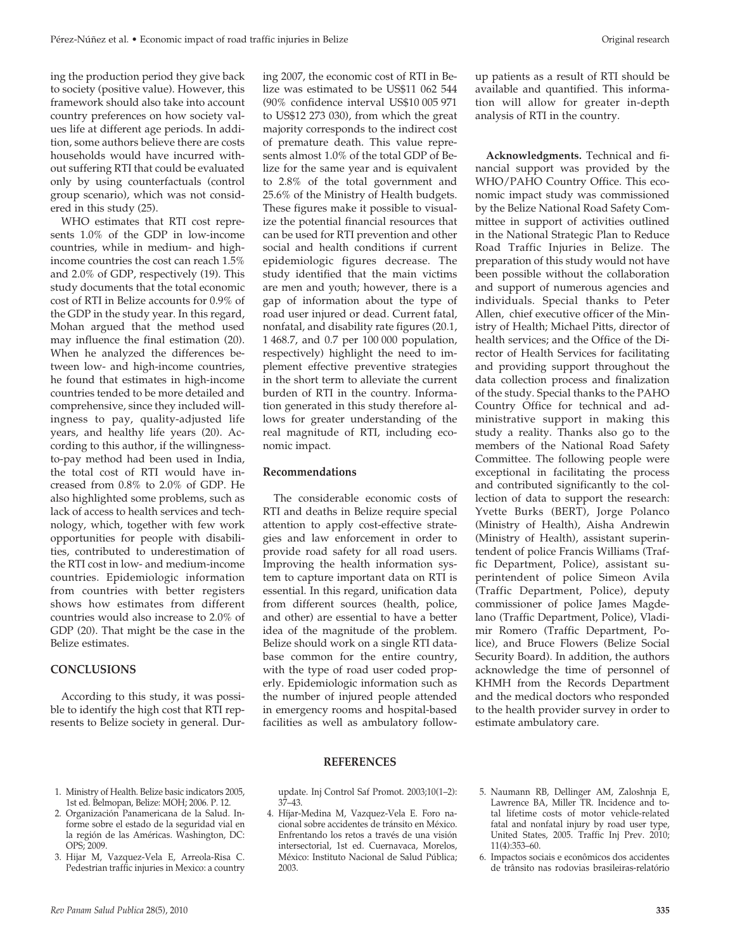ing the production period they give back to society (positive value). However, this framework should also take into account country preferences on how society values life at different age periods. In addition, some authors believe there are costs households would have incurred without suffering RTI that could be evaluated only by using counterfactuals (control group scenario), which was not considered in this study (25).

WHO estimates that RTI cost represents 1.0% of the GDP in low-income countries, while in medium- and highincome countries the cost can reach 1.5% and 2.0% of GDP, respectively (19). This study documents that the total economic cost of RTI in Belize accounts for 0.9% of the GDP in the study year. In this regard, Mohan argued that the method used may influence the final estimation (20). When he analyzed the differences between low- and high-income countries, he found that estimates in high-income countries tended to be more detailed and comprehensive, since they included willingness to pay, quality-adjusted life years, and healthy life years (20). According to this author, if the willingnessto-pay method had been used in India, the total cost of RTI would have increased from 0.8% to 2.0% of GDP. He also highlighted some problems, such as lack of access to health services and technology, which, together with few work opportunities for people with disabilities, contributed to underestimation of the RTI cost in low- and medium-income countries. Epidemiologic information from countries with better registers shows how estimates from different countries would also increase to 2.0% of GDP (20). That might be the case in the Belize estimates.

# **CONCLUSIONS**

According to this study, it was possible to identify the high cost that RTI represents to Belize society in general. During 2007, the economic cost of RTI in Belize was estimated to be US\$11 062 544 (90% confidence interval US\$10 005 971 to US\$12 273 030), from which the great majority corresponds to the indirect cost of premature death. This value represents almost 1.0% of the total GDP of Belize for the same year and is equivalent to 2.8% of the total government and 25.6% of the Ministry of Health budgets. These figures make it possible to visualize the potential financial resources that can be used for RTI prevention and other social and health conditions if current epidemiologic figures decrease. The study identified that the main victims are men and youth; however, there is a gap of information about the type of road user injured or dead. Current fatal, nonfatal, and disability rate figures (20.1, 1 468.7, and 0.7 per 100 000 population, respectively) highlight the need to implement effective preventive strategies in the short term to alleviate the current burden of RTI in the country. Information generated in this study therefore allows for greater understanding of the real magnitude of RTI, including economic impact.

# **Recommendations**

The considerable economic costs of RTI and deaths in Belize require special attention to apply cost-effective strategies and law enforcement in order to provide road safety for all road users. Improving the health information system to capture important data on RTI is essential. In this regard, unification data from different sources (health, police, and other) are essential to have a better idea of the magnitude of the problem. Belize should work on a single RTI database common for the entire country, with the type of road user coded properly. Epidemiologic information such as the number of injured people attended in emergency rooms and hospital-based facilities as well as ambulatory followup patients as a result of RTI should be available and quantified. This information will allow for greater in-depth analysis of RTI in the country.

**Acknowledgments.** Technical and financial support was provided by the WHO/PAHO Country Office. This economic impact study was commissioned by the Belize National Road Safety Committee in support of activities outlined in the National Strategic Plan to Reduce Road Traffic Injuries in Belize. The preparation of this study would not have been possible without the collaboration and support of numerous agencies and individuals. Special thanks to Peter Allen, chief executive officer of the Ministry of Health; Michael Pitts, director of health services; and the Office of the Director of Health Services for facilitating and providing support throughout the data collection process and finalization of the study. Special thanks to the PAHO Country Office for technical and administrative support in making this study a reality. Thanks also go to the members of the National Road Safety Committee. The following people were exceptional in facilitating the process and contributed significantly to the collection of data to support the research: Yvette Burks (BERT), Jorge Polanco (Ministry of Health), Aisha Andrewin (Ministry of Health), assistant superintendent of police Francis Williams (Traffic Department, Police), assistant superintendent of police Simeon Avila (Traffic Department, Police), deputy commissioner of police James Magdelano (Traffic Department, Police), Vladimir Romero (Traffic Department, Police), and Bruce Flowers (Belize Social Security Board). In addition, the authors acknowledge the time of personnel of KHMH from the Records Department and the medical doctors who responded to the health provider survey in order to estimate ambulatory care.

## **REFERENCES**

- 1. Ministry of Health. Belize basic indicators 2005, 1st ed. Belmopan, Belize: MOH; 2006. P. 12. 37–43.
- 2. Organización Panamericana de la Salud. Informe sobre el estado de la seguridad vial en la región de las Américas. Washington, DC: OPS; 2009.
- 3. Hijar M, Vazquez-Vela E, Arreola-Risa C. Pedestrian traffic injuries in Mexico: a country
- update. Inj Control Saf Promot. 2003;10(1–2):
- 4. Híjar-Medina M, Vazquez-Vela E. Foro nacional sobre accidentes de tránsito en México. Enfrentando los retos a través de una visión intersectorial, 1st ed. Cuernavaca, Morelos, México: Instituto Nacional de Salud Pública; 2003.
- 5. Naumann RB, Dellinger AM, Zaloshnja E, Lawrence BA, Miller TR. Incidence and total lifetime costs of motor vehicle-related fatal and nonfatal injury by road user type, United States, 2005. Traffic Inj Prev. 2010; 11(4):353–60.
- 6. Impactos sociais e econômicos dos accidentes de trânsito nas rodovias brasileiras-relatório